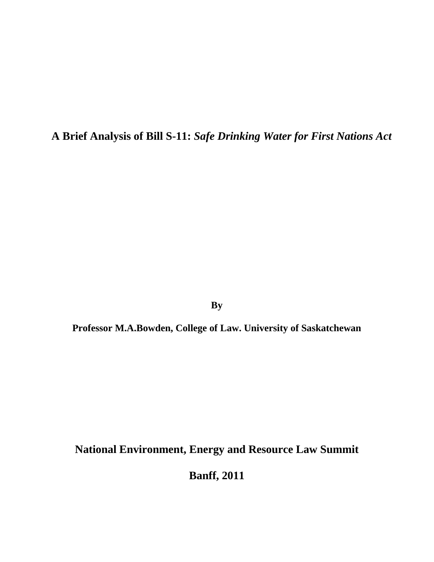**A Brief Analysis of Bill S-11:** *Safe Drinking Water for First Nations Act* 

**By** 

**Professor M.A.Bowden, College of Law. University of Saskatchewan** 

**National Environment, Energy and Resource Law Summit** 

**Banff, 2011**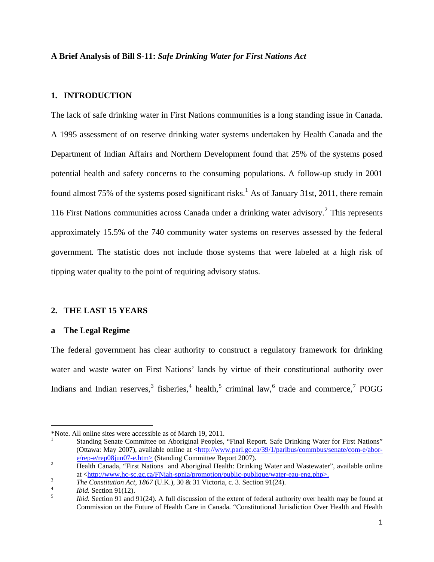### **A Brief Analysis of Bill S-11:** *Safe Drinking Water for First Nations Act*

## **1. INTRODUCTION**

The lack of safe drinking water in First Nations communities is a long standing issue in Canada. A 1995 assessment of on reserve drinking water systems undertaken by Health Canada and the Department of Indian Affairs and Northern Development found that 25% of the systems posed potential health and safety concerns to the consuming populations. A follow-up study in 2001 found almost 75% of the systems posed significant risks.<sup>[1](#page-1-0)</sup> As of January 31st, 2011, there remain 116 First Nations communities across Canada under a drinking water advisory.<sup>[2](#page-1-1)</sup> This represents approximately 15.5% of the 740 community water systems on reserves assessed by the federal government. The statistic does not include those systems that were labeled at a high risk of tipping water quality to the point of requiring advisory status.

#### **2. THE LAST 15 YEARS**

### **a The Legal Regime**

The federal government has clear authority to construct a regulatory framework for drinking water and waste water on First Nations' lands by virtue of their constitutional authority over Indians and Indian reserves,<sup>[3](#page-1-2)</sup> fisheries,<sup>[4](#page-1-3)</sup> health,<sup>[5](#page-1-4)</sup> criminal law,<sup>[6](#page-1-5)</sup> trade and commerce,<sup>[7](#page-1-6)</sup> POGG

<span id="page-1-6"></span><span id="page-1-5"></span><span id="page-1-0"></span><sup>\*</sup>Note. All online sites were accessible as of March 19, 2011. 1

Standing Senate Committee on Aboriginal Peoples, "Final Report. Safe Drinking Water for First Nations" (Ottawa: May 2007), available online at [<http://www.parl.gc.ca/39/1/parlbus/commbus/senate/com-e/abor](http://www.parl.gc.ca/39/1/parlbus/commbus/senate/com-e/abor-e/rep-e/rep08jun07-e.htm)[e/rep-e/rep08jun07-e.htm>](http://www.parl.gc.ca/39/1/parlbus/commbus/senate/com-e/abor-e/rep-e/rep08jun07-e.htm) (Standing Committee Report 2007).

<span id="page-1-1"></span>Health Canada, "First Nations and Aboriginal Health: Drinking Water and Wastewater", available online at  $\langle \frac{http://www.hc-sc.gc.ca/FNiah-spinia/promotion/public-publique/water-eau-eng.php>}{\sqrt{3}}$ .

<span id="page-1-2"></span>*The Constitution Act, 1867* (U.K.),  $30 \& 31$  Victoria, c. 3. Section 91(24).

<span id="page-1-4"></span><span id="page-1-3"></span><sup>&</sup>lt;sup>4</sup> *Ibid.* Section 91(12).

*Ibid.* Section 91 and 91(24). A full discussion of the extent of federal authority over health may be found at Commission on the Future of Health Care in Canada. "Constitutional Jurisdiction Over Health and Health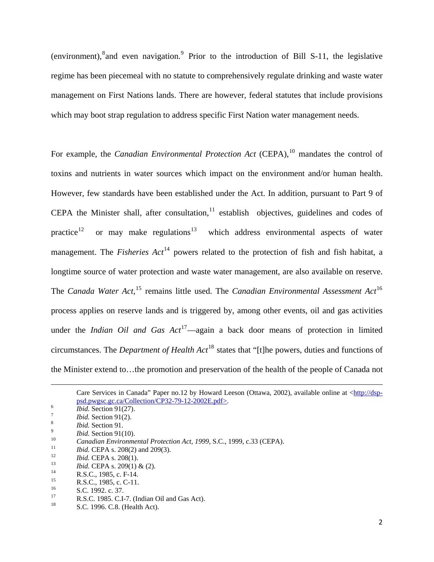(environment), and even navigation. <sup>[9](#page-2-1)</sup> Prior to the introduction of Bill S-11, the legislative regime has been piecemeal with no statute to comprehensively regulate drinking and waste water management on First Nations lands. There are however, federal statutes that include provisions which may boot strap regulation to address specific First Nation water management needs.

For example, the *Canadian Environmental Protection Act* (CEPA),<sup>[10](#page-2-2)</sup> mandates the control of toxins and nutrients in water sources which impact on the environment and/or human health. However, few standards have been established under the Act. In addition, pursuant to Part 9 of CEPA the Minister shall, after consultation, $<sup>11</sup>$  $<sup>11</sup>$  $<sup>11</sup>$  establish objectives, guidelines and codes of</sup> practice<sup>[12](#page-2-4)</sup> or may make regulations<sup>[13](#page-2-5)</sup> which address environmental aspects of water management. The *Fisheries Act*<sup>[14](#page-2-6)</sup> powers related to the protection of fish and fish habitat, a longtime source of water protection and waste water management, are also available on reserve. The *Canada Water Act*,<sup>[15](#page-2-7)</sup> remains little used. The *Canadian Environmental Assessment Act*<sup>[16](#page-2-8)</sup> process applies on reserve lands and is triggered by, among other events, oil and gas activities under the *Indian Oil and Gas Act*<sup>[17](#page-2-9)</sup>—again a back door means of protection in limited circumstances. The *Department of Health Act*[18](#page-2-10) states that "[t]he powers, duties and functions of the Minister extend to…the promotion and preservation of the health of the people of Canada not

- <span id="page-2-3"></span>
- <span id="page-2-4"></span>

<span id="page-2-6"></span>

<span id="page-2-8"></span> $^{16}$  S.C. 1992. c. 37.<br><sup>17</sup> **B.S.C.** 1985. C.I.

<sup>&</sup>lt;u> 1989 - Johann Stein, marwolaethau a gweledydd a ganrad y ganrad y ganrad y ganrad y ganrad y ganrad y ganrad</u> Care Services in Canada" Paper no.12 by Howard Leeson (Ottawa, 2002), available online at <[http://dsp](http://dsp-psd.pwgsc.gc.ca/Collection/CP32-79-12-2002E.pdf)[psd.pwgsc.gc.ca/Collection/CP32-79-12-2002E.pdf>](http://dsp-psd.pwgsc.gc.ca/Collection/CP32-79-12-2002E.pdf).<br> $\frac{6}{5}$ .

 $\overline{I}$  *Ibid.* Section 91(27).

 $\frac{7}{8}$  *Ibid.* Section 91(2).

<span id="page-2-1"></span><span id="page-2-0"></span><sup>&</sup>lt;sup>8</sup> *Ibid.* Section 91.<br><sup>9</sup> *Ibid.* Section 91(10).

<span id="page-2-2"></span><sup>&</sup>lt;sup>10</sup><br>
Canadian Environmental Protection Act, 1999, S.C., 1999, c.33 (CEPA).<br>
<sup>11</sup><br> *Ibid.* CEPA s. 208(2) and 209(3).<br> *Ibid.* CEPA s. 208(1).<br> *Ibid.* CEPA s. 209(1) & (2).<br>
<sup>13</sup><br>
R.S.C., 1985, c. F-14.<br>
<sup>15</sup><br> **15**<br> **15** 

<span id="page-2-5"></span>

<span id="page-2-7"></span><sup>&</sup>lt;sup>15</sup> R.S.C., 1985, c. C-11.<br>
S.C. 1992,  $\frac{37}{7}$ 

<span id="page-2-10"></span><span id="page-2-9"></span><sup>17</sup> R.S.C. 1985. C.I-7. (Indian Oil and Gas Act).

S.C. 1996. C.8. (Health Act).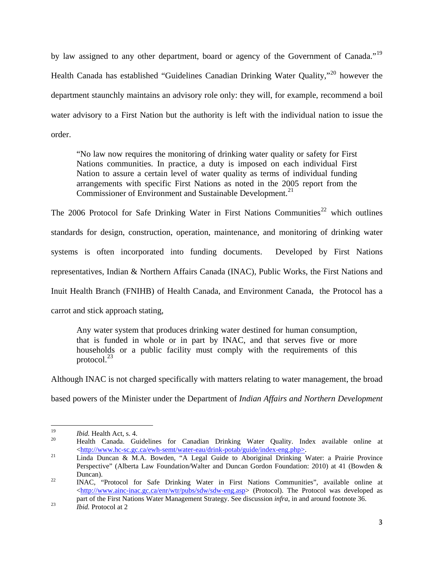by law assigned to any other department, board or agency of the Government of Canada."<sup>[19](#page-3-0)</sup> Health Canada has established "Guidelines Canadian Drinking Water Quality,"[20](#page-3-1) however the department staunchly maintains an advisory role only: they will, for example, recommend a boil water advisory to a First Nation but the authority is left with the individual nation to issue the order.

"No law now requires the monitoring of drinking water quality or safety for First Nations communities. In practice, a duty is imposed on each individual First Nation to assure a certain level of water quality as terms of individual funding arrangements with specific First Nations as noted in the 2005 report from the Commissioner of Environment and Sustainable Development.<sup>[21](#page-3-2)</sup>

The 2006 Protocol for Safe Drinking Water in First Nations Communities<sup>[22](#page-3-3)</sup> which outlines standards for design, construction, operation, maintenance, and monitoring of drinking water systems is often incorporated into funding documents. Developed by First Nations representatives, Indian & Northern Affairs Canada (INAC), Public Works, the First Nations and Inuit Health Branch (FNIHB) of Health Canada, and Environment Canada, the Protocol has a carrot and stick approach stating,

Any water system that produces drinking water destined for human consumption, that is funded in whole or in part by INAC, and that serves five or more households or a public facility must comply with the requirements of this protocol. $^{23}$  $^{23}$  $^{23}$ 

Although INAC is not charged specifically with matters relating to water management, the broad

based powers of the Minister under the Department of *Indian Affairs and Northern Development* 

<span id="page-3-1"></span><span id="page-3-0"></span><sup>19</sup>*Ibid.* Health Act, s. 4. 20 Health Canada. Guidelines for Canadian Drinking Water Quality. Index available online at <[http://www.hc-sc.gc.ca/ewh-semt/water-eau/drink-potab/guide/index-eng.php>](http://www.hc-sc.gc.ca/ewh-semt/water-eau/drink-potab/guide/index-eng.php). 21 Linda Duncan & M.A. Bowden, "A Legal Guide to Aboriginal Drinking Water: a Prairie Province

<span id="page-3-2"></span>Perspective" (Alberta Law Foundation/Walter and Duncan Gordon Foundation: 2010) at 41 (Bowden & Duncan). 22 INAC, "Protocol for Safe Drinking Water in First Nations Communities", available online at

<span id="page-3-3"></span><sup>&</sup>lt;<http://www.ainc-inac.gc.ca/enr/wtr/pubs/sdw/sdw-eng.asp>> (Protocol). The Protocol was developed as part of the First Nations Water Management Strategy. See discussion *infra*, in and around footnote 36. 23 *Ibid.* Protocol at 2

<span id="page-3-4"></span>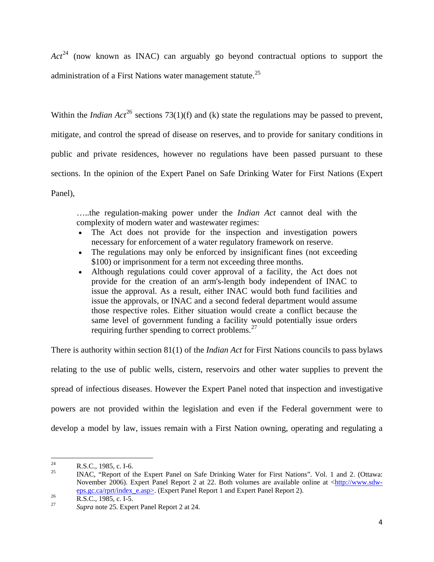*Act*[24](#page-4-0) (now known as INAC) can arguably go beyond contractual options to support the administration of a First Nations water management statute.<sup>[25](#page-4-1)</sup>

Within the *Indian Act*<sup>[26](#page-4-2)</sup> sections 73(1)(f) and (k) state the regulations may be passed to prevent, mitigate, and control the spread of disease on reserves, and to provide for sanitary conditions in public and private residences, however no regulations have been passed pursuant to these sections. In the opinion of the Expert Panel on Safe Drinking Water for First Nations (Expert Panel),

…..the regulation-making power under the *Indian Act* cannot deal with the complexity of modern water and wastewater regimes:

- The Act does not provide for the inspection and investigation powers necessary for enforcement of a water regulatory framework on reserve.
- The regulations may only be enforced by insignificant fines (not exceeding \$100) or imprisonment for a term not exceeding three months.
- Although regulations could cover approval of a facility, the Act does not provide for the creation of an arm's-length body independent of INAC to issue the approval. As a result, either INAC would both fund facilities and issue the approvals, or INAC and a second federal department would assume those respective roles. Either situation would create a conflict because the same level of government funding a facility would potentially issue orders requiring further spending to correct problems.[27](#page-4-3)

There is authority within section 81(1) of the *Indian Act* for First Nations councils to pass bylaws relating to the use of public wells, cistern, reservoirs and other water supplies to prevent the spread of infectious diseases. However the Expert Panel noted that inspection and investigative powers are not provided within the legislation and even if the Federal government were to develop a model by law, issues remain with a First Nation owning, operating and regulating a

<span id="page-4-0"></span> <sup>24</sup> R.S.C., 1985, c. I-6.<br><sup>25</sup> R.MAC. "Beport of the

<span id="page-4-1"></span><sup>25</sup> INAC, "Report of the Expert Panel on Safe Drinking Water for First Nations". Vol. 1 and 2. (Ottawa: November 2006). Expert Panel Report 2 at 22. Both volumes are available online at  $\langle \frac{http://www.sdw-1}{http://www.sdw-1} \rangle$ [eps.gc.ca/rprt/index\\_e.asp](http://www.sdw-eps.gc.ca/rprt/index_e.asp)>. (Expert Panel Report 1 and Expert Panel Report 2).<br>R.S.C., 1985, c. I-5.

<span id="page-4-2"></span>

<span id="page-4-3"></span>Supra note 25. Expert Panel Report 2 at 24.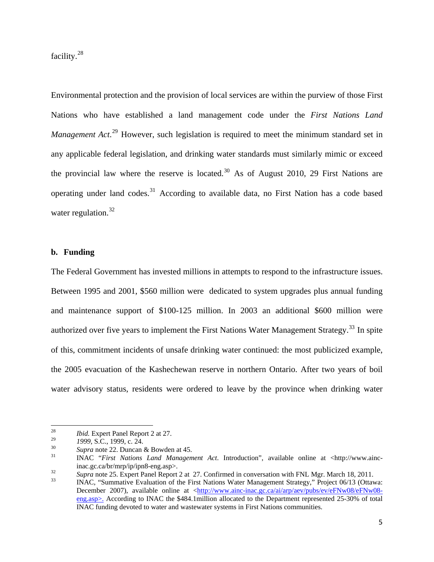facility.[28](#page-5-0)

Environmental protection and the provision of local services are within the purview of those First Nations who have established a land management code under the *First Nations Land*  Management Act.<sup>[29](#page-5-1)</sup> However, such legislation is required to meet the minimum standard set in any applicable federal legislation, and drinking water standards must similarly mimic or exceed the provincial law where the reserve is located. $30$  As of August 2010, 29 First Nations are operating under land codes.<sup>[31](#page-5-3)</sup> According to available data, no First Nation has a code based water regulation. $32$ 

### **b. Funding**

The Federal Government has invested millions in attempts to respond to the infrastructure issues. Between 1995 and 2001, \$560 million were dedicated to system upgrades plus annual funding and maintenance support of \$100-125 million. In 2003 an additional \$600 million were authorized over five years to implement the First Nations Water Management Strategy.<sup>[33](#page-5-5)</sup> In spite of this, commitment incidents of unsafe drinking water continued: the most publicized example, the 2005 evacuation of the Kashechewan reserve in northern Ontario. After two years of boil water advisory status, residents were ordered to leave by the province when drinking water

<span id="page-5-0"></span><sup>&</sup>lt;sup>28</sup> *Ibid.* Expert Panel Report 2 at 27.

<span id="page-5-2"></span><span id="page-5-1"></span><sup>29</sup>*1999*, S.C., 1999, c. 24. 30 *Supra* note 22. Duncan & Bowden at 45. 31 INAC "*First Nations Land Management Act*. Introduction", available online at <http://www.ainc-

<span id="page-5-4"></span><span id="page-5-3"></span>inac.gc.ca/br/mrp/ip/ipn8-eng.asp>.<br>
Supra note 25. Expert Panel Report 2 at 27. Confirmed in conversation with FNL Mgr. March 18, 2011.<br>
INAC, "Summative Evaluation of the First Nations Water Management Strategy," Project

<span id="page-5-5"></span>December 2007), available online at [<http://www.ainc-inac.gc.ca/ai/arp/aev/pubs/ev/eFNw08/eFNw08](http://www.ainc-inac.gc.ca/ai/arp/aev/pubs/ev/efnw08/efnw08-eng.asp) [eng.asp](http://www.ainc-inac.gc.ca/ai/arp/aev/pubs/ev/efnw08/efnw08-eng.asp)>. According to INAC the \$484.1million allocated to the Department represented 25-30% of total INAC funding devoted to water and wastewater systems in First Nations communities.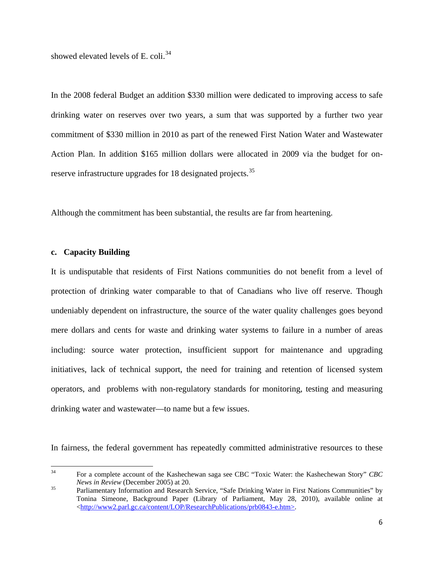showed elevated levels of E. coli.<sup>[34](#page-6-0)</sup>

In the 2008 federal Budget an addition \$330 million were dedicated to improving access to safe drinking water on reserves over two years, a sum that was supported by a further two year commitment of \$330 million in 2010 as part of the renewed First Nation Water and Wastewater Action Plan. In addition \$165 million dollars were allocated in 2009 via the budget for on-reserve infrastructure upgrades for 18 designated projects.<sup>[35](#page-6-1)</sup>

Although the commitment has been substantial, the results are far from heartening.

## **c. Capacity Building**

It is undisputable that residents of First Nations communities do not benefit from a level of protection of drinking water comparable to that of Canadians who live off reserve. Though undeniably dependent on infrastructure, the source of the water quality challenges goes beyond mere dollars and cents for waste and drinking water systems to failure in a number of areas including: source water protection, insufficient support for maintenance and upgrading initiatives, lack of technical support, the need for training and retention of licensed system operators, and problems with non-regulatory standards for monitoring, testing and measuring drinking water and wastewater—to name but a few issues.

In fairness, the federal government has repeatedly committed administrative resources to these

<span id="page-6-0"></span><sup>34</sup> For a complete account of the Kashechewan saga see CBC "Toxic Water: the Kashechewan Story" *CBC News in Review* (December 2005) at 20.<br><sup>35</sup> Parliamentary Information and Research Service, "Safe Drinking Water in First Nations Communities" by

<span id="page-6-1"></span>Tonina Simeone, Background Paper (Library of Parliament, May 28, 2010), available online at <<http://www2.parl.gc.ca/content/LOP/ResearchPublications/prb0843-e.htm>>.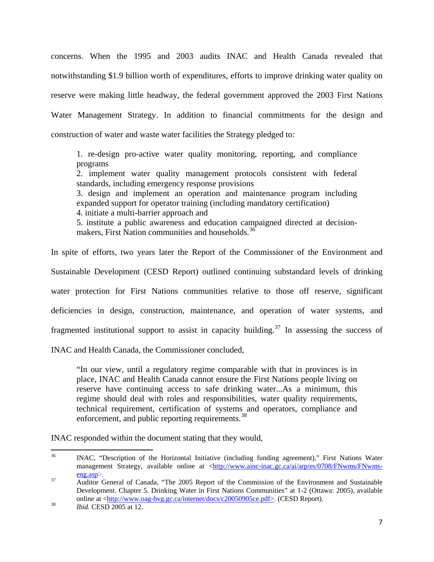concerns. When the 1995 and 2003 audits INAC and Health Canada revealed that notwithstanding \$1.9 billion worth of expenditures, efforts to improve drinking water quality on reserve were making little headway, the federal government approved the 2003 First Nations Water Management Strategy. In addition to financial commitments for the design and construction of water and waste water facilities the Strategy pledged to:

1. re-design pro-active water quality monitoring, reporting, and compliance programs

2. implement water quality management protocols consistent with federal standards, including emergency response provisions

3. design and implement an operation and maintenance program including expanded support for operator training (including mandatory certification)

4. initiate a multi-barrier approach and

5. institute a public awareness and education campaigned directed at decision-makers, First Nation communities and households.<sup>[36](#page-7-0)</sup>

In spite of efforts, two years later the Report of the Commissioner of the Environment and Sustainable Development (CESD Report) outlined continuing substandard levels of drinking water protection for First Nations communities relative to those off reserve, significant deficiencies in design, construction, maintenance, and operation of water systems, and fragmented institutional support to assist in capacity building.<sup>[37](#page-7-1)</sup> In assessing the success of

INAC and Health Canada, the Commissioner concluded,

"In our view, until a regulatory regime comparable with that in provinces is in place, INAC and Health Canada cannot ensure the First Nations people living on reserve have continuing access to safe drinking water...As a minimum, this regime should deal with roles and responsibilities, water quality requirements, technical requirement, certification of systems and operators, compliance and enforcement, and public reporting requirements.<sup>[38](#page-7-2)</sup>

INAC responded within the document stating that they would,

<span id="page-7-0"></span> <sup>36</sup> INAC, "Description of the Horizontal Initiative (including funding agreement)," First Nations Water management Strategy, available online at [<http://www.ainc-inac.gc.ca/ai/arp/es/0708/FNwms/FNwms](http://www.ainc-inac.gc.ca/ai/arp/es/0708/fnwms/fnwms-eng.asp)[eng.asp](http://www.ainc-inac.gc.ca/ai/arp/es/0708/fnwms/fnwms-eng.asp)>. 37 Auditor General of Canada, "The 2005 Report of the Commission of the Environment and Sustainable

<span id="page-7-1"></span>Development. Chapter 5. Drinking Water in First Nations Communities" at 1-2 (Ottawa: 2005), available online at <<http://www.oag-bvg.gc.ca/internet/docs/c20050905ce.pdf>>. (CESD Report).<br><sup>38</sup> *Ibid.* CESD 2005 at 12.

<span id="page-7-2"></span>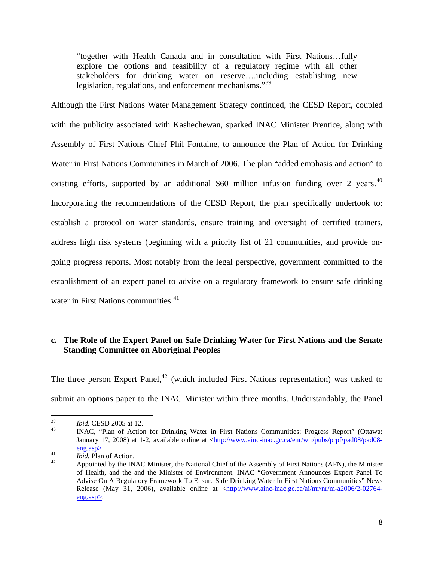"together with Health Canada and in consultation with First Nations…fully explore the options and feasibility of a regulatory regime with all other stakeholders for drinking water on reserve….including establishing new legislation, regulations, and enforcement mechanisms."<sup>[39](#page-8-0)</sup>

Although the First Nations Water Management Strategy continued, the CESD Report, coupled with the publicity associated with Kashechewan, sparked INAC Minister Prentice, along with Assembly of First Nations Chief Phil Fontaine, to announce the Plan of Action for Drinking Water in First Nations Communities in March of 2006. The plan "added emphasis and action" to existing efforts, supported by an additional  $$60$  million infusion funding over 2 years.<sup>[40](#page-8-1)</sup> Incorporating the recommendations of the CESD Report, the plan specifically undertook to: establish a protocol on water standards, ensure training and oversight of certified trainers, address high risk systems (beginning with a priority list of 21 communities, and provide ongoing progress reports. Most notably from the legal perspective, government committed to the establishment of an expert panel to advise on a regulatory framework to ensure safe drinking water in First Nations communities.<sup>[41](#page-8-2)</sup>

# **c. The Role of the Expert Panel on Safe Drinking Water for First Nations and the Senate Standing Committee on Aboriginal Peoples**

The three person Expert Panel,<sup>[42](#page-8-3)</sup> (which included First Nations representation) was tasked to submit an options paper to the INAC Minister within three months. Understandably, the Panel

<span id="page-8-1"></span><span id="page-8-0"></span><sup>&</sup>lt;sup>39</sup>*Ibid.* CESD 2005 at 12.<br><sup>40</sup> INAC, "Plan of Action for Drinking Water in First Nations Communities: Progress Report" (Ottawa: January 17, 2008) at 1-2, available online at [<http://www.ainc-inac.gc.ca/enr/wtr/pubs/prpf/pad08/pad08](http://www.ainc-inac.gc.ca/enr/wtr/pubs/prpf/pad08/pad08-eng.asp) [eng.asp](http://www.ainc-inac.gc.ca/enr/wtr/pubs/prpf/pad08/pad08-eng.asp)>.<br> *Ibid.* Plan of Action.<br>
Appointed by the INAC Minister, the National Chief of the Assembly of First Nations (AFN), the Minister

<span id="page-8-3"></span><span id="page-8-2"></span>

of Health, and the and the Minister of Environment. INAC "Government Announces Expert Panel To Advise On A Regulatory Framework To Ensure Safe Drinking Water In First Nations Communities" News Release (May 31, 2006), available online at [<http://www.ainc-inac.gc.ca/ai/mr/nr/m-a2006/2-02764](http://www.ainc-inac.gc.ca/ai/mr/nr/m-a2006/2-02764-eng.asp) [eng.asp](http://www.ainc-inac.gc.ca/ai/mr/nr/m-a2006/2-02764-eng.asp)>.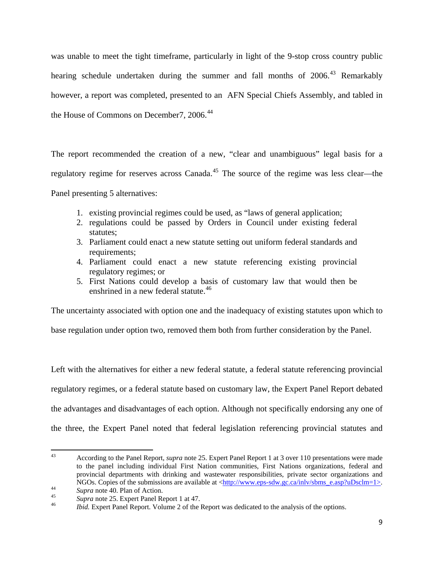was unable to meet the tight timeframe, particularly in light of the 9-stop cross country public hearing schedule undertaken during the summer and fall months of 2006.<sup>[43](#page-9-0)</sup> Remarkably however, a report was completed, presented to an AFN Special Chiefs Assembly, and tabled in the House of Commons on December 7, 2006.<sup>[44](#page-9-1)</sup>

The report recommended the creation of a new, "clear and unambiguous" legal basis for a regulatory regime for reserves across Canada.<sup>[45](#page-9-2)</sup> The source of the regime was less clear—the Panel presenting 5 alternatives:

- 1. existing provincial regimes could be used, as "laws of general application;
- 2. regulations could be passed by Orders in Council under existing federal statutes;
- 3. Parliament could enact a new statute setting out uniform federal standards and requirements;
- 4. Parliament could enact a new statute referencing existing provincial regulatory regimes; or
- 5. First Nations could develop a basis of customary law that would then be enshrined in a new federal statute.<sup>[46](#page-9-3)</sup>

The uncertainty associated with option one and the inadequacy of existing statutes upon which to

base regulation under option two, removed them both from further consideration by the Panel.

Left with the alternatives for either a new federal statute, a federal statute referencing provincial regulatory regimes, or a federal statute based on customary law, the Expert Panel Report debated the advantages and disadvantages of each option. Although not specifically endorsing any one of the three, the Expert Panel noted that federal legislation referencing provincial statutes and

<span id="page-9-0"></span> 43 According to the Panel Report, *supra* note 25. Expert Panel Report 1 at 3 over 110 presentations were made to the panel including individual First Nation communities, First Nations organizations, federal and provincial departments with drinking and wastewater responsibilities, private sector organizations and

<span id="page-9-1"></span>

<span id="page-9-3"></span><span id="page-9-2"></span>

NGOs. Copies of the submissions are available at [<http://www.eps-sdw.gc.ca/inlv/sbms\\_e.asp?uDsclm=1>](http://www.eps-sdw.gc.ca/inlv/sbms_e.asp?uDsclm=1).<br>
Supra note 40. Plan of Action.<br>
Supra note 25. Expert Panel Report 1 at 47.<br> *Hoid.* Expert Panel Report. Volume 2 of t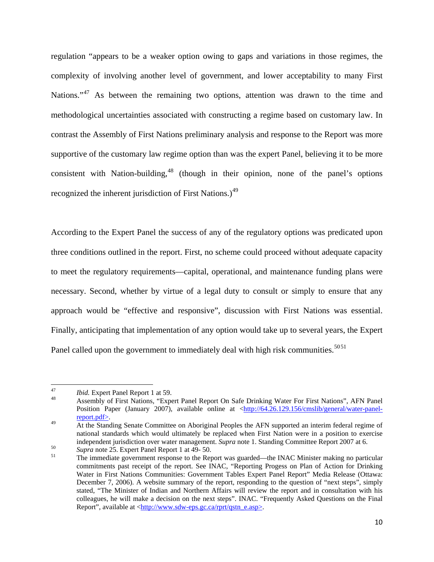regulation "appears to be a weaker option owing to gaps and variations in those regimes, the complexity of involving another level of government, and lower acceptability to many First Nations."<sup>[47](#page-10-0)</sup> As between the remaining two options, attention was drawn to the time and methodological uncertainties associated with constructing a regime based on customary law. In contrast the Assembly of First Nations preliminary analysis and response to the Report was more supportive of the customary law regime option than was the expert Panel, believing it to be more consistent with Nation-building,  $48$  (though in their opinion, none of the panel's options recognized the inherent jurisdiction of First Nations.)<sup>[49](#page-10-2)</sup>

According to the Expert Panel the success of any of the regulatory options was predicated upon three conditions outlined in the report. First, no scheme could proceed without adequate capacity to meet the regulatory requirements—capital, operational, and maintenance funding plans were necessary. Second, whether by virtue of a legal duty to consult or simply to ensure that any approach would be "effective and responsive", discussion with First Nations was essential. Finally, anticipating that implementation of any option would take up to several years, the Expert Panel called upon the government to immediately deal with high risk communities.<sup>5051</sup>

<span id="page-10-1"></span><span id="page-10-0"></span><sup>&</sup>lt;sup>47</sup>*Ibid.* Expert Panel Report 1 at 59.<br><sup>48</sup> Assembly of First Nations, "Expert Panel Report On Safe Drinking Water For First Nations", AFN Panel Position Paper (January 2007), available online at <[http://64.26.129.156/cmslib/general/water-panel](http://64.26.129.156/cmslib/general/water-panel-report.pdf)[report.pdf>](http://64.26.129.156/cmslib/general/water-panel-report.pdf).<br>At the Standing Senate Committee on Aboriginal Peoples the AFN supported an interim federal regime of

<span id="page-10-2"></span>national standards which would ultimately be replaced when First Nation were in a position to exercise independent jurisdiction over water management. Supra note 1. Standing Committee Report 2007 at 6.

<span id="page-10-3"></span><sup>&</sup>lt;sup>50</sup> *Supra* note 25. Expert Panel Report 1 at 49-50.<br>
<sup>51</sup> The immediate government response to the Report was guarded—the INAC Minister making no particular commitments past receipt of the report. See INAC, "Reporting Progess on Plan of Action for Drinking Water in First Nations Communities: Government Tables Expert Panel Report" Media Release (Ottawa: December 7, 2006). A website summary of the report, responding to the question of "next steps", simply stated, "The Minister of Indian and Northern Affairs will review the report and in consultation with his colleagues, he will make a decision on the next steps". INAC. "Frequently Asked Questions on the Final Report", available at <[http://www.sdw-eps.gc.ca/rprt/qstn\\_e.asp>](http://www.sdw-eps.gc.ca/rprt/qstn_e.asp).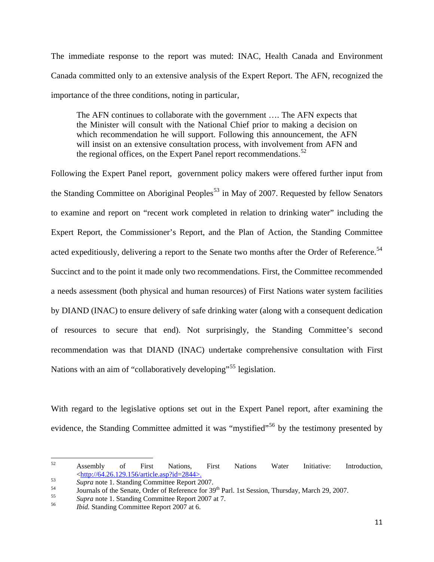The immediate response to the report was muted: INAC, Health Canada and Environment Canada committed only to an extensive analysis of the Expert Report. The AFN, recognized the importance of the three conditions, noting in particular,

The AFN continues to collaborate with the government …. The AFN expects that the Minister will consult with the National Chief prior to making a decision on which recommendation he will support. Following this announcement, the AFN will insist on an extensive consultation process, with involvement from AFN and the regional offices, on the Expert Panel report recommendations.<sup>[52](#page-11-0)</sup>

Following the Expert Panel report, government policy makers were offered further input from the Standing Committee on Aboriginal Peoples<sup>[53](#page-11-1)</sup> in May of 2007. Requested by fellow Senators to examine and report on "recent work completed in relation to drinking water" including the Expert Report, the Commissioner's Report, and the Plan of Action, the Standing Committee acted expeditiously, delivering a report to the Senate two months after the Order of Reference.<sup>[54](#page-11-2)</sup> Succinct and to the point it made only two recommendations. First, the Committee recommended a needs assessment (both physical and human resources) of First Nations water system facilities by DIAND (INAC) to ensure delivery of safe drinking water (along with a consequent dedication of resources to secure that end). Not surprisingly, the Standing Committee's second recommendation was that DIAND (INAC) undertake comprehensive consultation with First Nations with an aim of "collaboratively developing"<sup>[55](#page-11-3)</sup> legislation.

With regard to the legislative options set out in the Expert Panel report, after examining the evidence, the Standing Committee admitted it was "mystified"<sup>[56](#page-11-4)</sup> by the testimony presented by

<span id="page-11-0"></span> $52$  Assembly of First Nations, First Nations Water Initiative: Introduction, <sup>53</sup><br>
Supra note 1. Standing Committee Report 2007.<br>
Journals of the Senate, Order of Reference for 39<sup>th</sup> Parl. 1st Session, Thursday, March 29, 2007.<br> *Supra* note 1. Standing Committee Report 2007 at 7.<br> *Bid.* Standin

<span id="page-11-1"></span>

<span id="page-11-2"></span>

<span id="page-11-3"></span>

<span id="page-11-4"></span>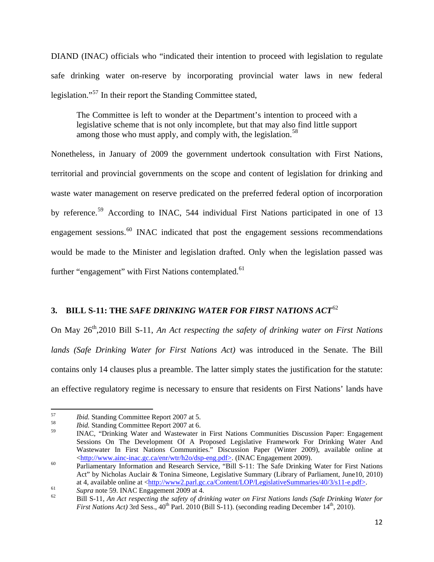DIAND (INAC) officials who "indicated their intention to proceed with legislation to regulate safe drinking water on-reserve by incorporating provincial water laws in new federal legislation."[57](#page-12-0) In their report the Standing Committee stated,

The Committee is left to wonder at the Department's intention to proceed with a legislative scheme that is not only incomplete, but that may also find little support among those who must apply, and comply with, the legislation.<sup>[58](#page-12-1)</sup>

Nonetheless, in January of 2009 the government undertook consultation with First Nations, territorial and provincial governments on the scope and content of legislation for drinking and waste water management on reserve predicated on the preferred federal option of incorporation by reference.<sup>[59](#page-12-2)</sup> According to INAC, 544 individual First Nations participated in one of 13 engagement sessions.<sup>[60](#page-12-3)</sup> INAC indicated that post the engagement sessions recommendations would be made to the Minister and legislation drafted. Only when the legislation passed was further "engagement" with First Nations contemplated.<sup>[61](#page-12-4)</sup>

# **3. BILL S-11: THE** *SAFE DRINKING WATER FOR FIRST NATIONS ACT*[62](#page-12-5)

On May 26<sup>th</sup>,2010 Bill S-11, *An Act respecting the safety of drinking water on First Nations lands (Safe Drinking Water for First Nations Act)* was introduced in the Senate. The Bill contains only 14 clauses plus a preamble. The latter simply states the justification for the statute: an effective regulatory regime is necessary to ensure that residents on First Nations' lands have

<span id="page-12-0"></span><sup>&</sup>lt;sup>57</sup>*Ibid.* Standing Committee Report 2007 at 5.<br> *Ibid.* Standing Committee Report 2007 at 6.<br> **IDI.** C. (Digital lie) Wester A Wester.

<span id="page-12-1"></span>

<span id="page-12-2"></span>INAC, "Drinking Water and Wastewater in First Nations Communities Discussion Paper: Engagement Sessions On The Development Of A Proposed Legislative Framework For Drinking Water And Wastewater In First Nations Communities." Discussion Paper (Winter 2009), available online at  $\frac{\text{http://www.ainc-inac.gc.ca/en/~wtr/h2o/dsp-eng.pdf}{\text{> C.}}$  (INAC Engagement 2009).

<span id="page-12-3"></span><sup>&</sup>lt;sup>60</sup> Parliamentary Information and Research Service, "Bill S-11: The Safe Drinking Water for First Nations Act" by Nicholas Auclair & Tonina Simeone, Legislative Summary (Library of Parliament, June10, 2010) at 4, available online at  $\langle \frac{http://www2.par1.gc.ca/Content/LOP/LegislativeSummaries/40/3/s11-e.pdf}{\rangle}$ .

<span id="page-12-5"></span><span id="page-12-4"></span>Supra note 59. INAC Engagement 2009 at 4.<br>
Bill S-11, An Act respecting the safety of drinking water on First Nations lands (Safe Drinking Water for *First Nations Act)* 3rd Sess.,  $40^{th}$  Parl. 2010 (Bill S-11). (seconding reading December  $14^{th}$ , 2010).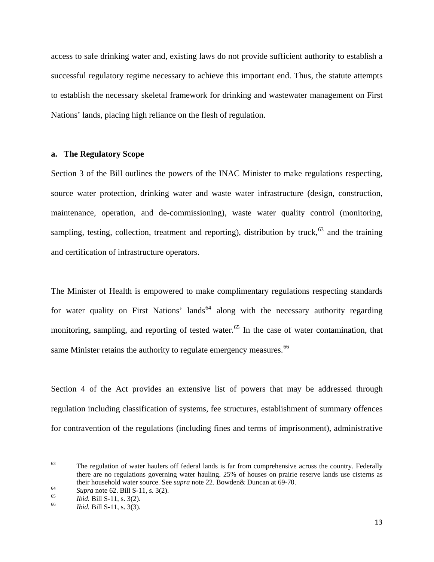access to safe drinking water and, existing laws do not provide sufficient authority to establish a successful regulatory regime necessary to achieve this important end. Thus, the statute attempts to establish the necessary skeletal framework for drinking and wastewater management on First Nations' lands, placing high reliance on the flesh of regulation.

## **a. The Regulatory Scope**

Section 3 of the Bill outlines the powers of the INAC Minister to make regulations respecting, source water protection, drinking water and waste water infrastructure (design, construction, maintenance, operation, and de-commissioning), waste water quality control (monitoring, sampling, testing, collection, treatment and reporting), distribution by truck,<sup>[63](#page-13-0)</sup> and the training and certification of infrastructure operators.

The Minister of Health is empowered to make complimentary regulations respecting standards for water quality on First Nations' lands<sup>[64](#page-13-1)</sup> along with the necessary authority regarding monitoring, sampling, and reporting of tested water.<sup>[65](#page-13-2)</sup> In the case of water contamination, that same Minister retains the authority to regulate emergency measures.<sup>[66](#page-13-3)</sup>

Section 4 of the Act provides an extensive list of powers that may be addressed through regulation including classification of systems, fee structures, establishment of summary offences for contravention of the regulations (including fines and terms of imprisonment), administrative

<span id="page-13-0"></span><sup>&</sup>lt;sup>63</sup> The regulation of water haulers off federal lands is far from comprehensive across the country. Federally there are no regulations governing water hauling. 25% of houses on prairie reserve lands use cisterns as their household water source. See *supra* note 22. Bowden& Duncan at 69-70.<br> *Supra* note 62. Bill S-11, s. 3(2).<br> *Ibid.* Bill S-11, s. 3(3).<br> *Ibid.* Bill S-11, s. 3(3).

<span id="page-13-2"></span><span id="page-13-1"></span>

<span id="page-13-3"></span>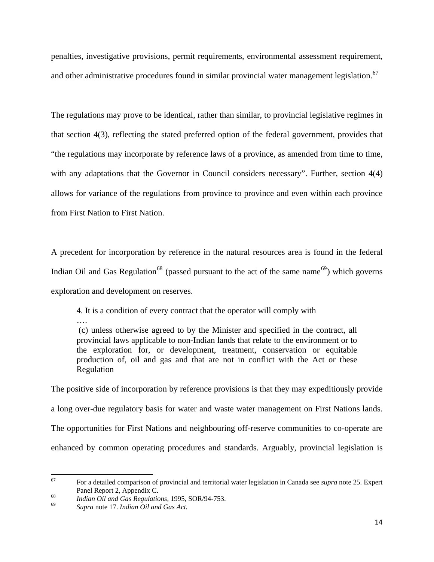penalties, investigative provisions, permit requirements, environmental assessment requirement, and other administrative procedures found in similar provincial water management legislation.<sup>[67](#page-14-0)</sup>

The regulations may prove to be identical, rather than similar, to provincial legislative regimes in that section 4(3), reflecting the stated preferred option of the federal government, provides that "the regulations may incorporate by reference laws of a province, as amended from time to time, with any adaptations that the Governor in Council considers necessary". Further, section 4(4) allows for variance of the regulations from province to province and even within each province from First Nation to First Nation.

A precedent for incorporation by reference in the natural resources area is found in the federal Indian Oil and Gas Regulation<sup>[68](#page-14-1)</sup> (passed pursuant to the act of the same name<sup>[69](#page-14-2)</sup>) which governs exploration and development on reserves.

4. It is a condition of every contract that the operator will comply with

…. (c) unless otherwise agreed to by the Minister and specified in the contract, all provincial laws applicable to non-Indian lands that relate to the environment or to the exploration for, or development, treatment, conservation or equitable production of, oil and gas and that are not in conflict with the Act or these Regulation

The positive side of incorporation by reference provisions is that they may expeditiously provide a long over-due regulatory basis for water and waste water management on First Nations lands. The opportunities for First Nations and neighbouring off-reserve communities to co-operate are enhanced by common operating procedures and standards. Arguably, provincial legislation is

<span id="page-14-0"></span><sup>67</sup> For a detailed comparison of provincial and territorial water legislation in Canada see *supra* note 25. Expert Panel Report 2, Appendix C. 68 *Indian Oil and Gas Regulations,* 1995, SOR/94-753. 69 *Supra* note 17. *Indian Oil and Gas Act.*

<span id="page-14-1"></span>

<span id="page-14-2"></span>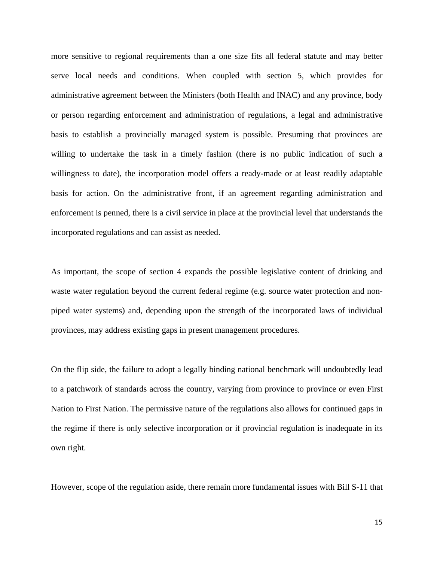more sensitive to regional requirements than a one size fits all federal statute and may better serve local needs and conditions. When coupled with section 5, which provides for administrative agreement between the Ministers (both Health and INAC) and any province, body or person regarding enforcement and administration of regulations, a legal and administrative basis to establish a provincially managed system is possible. Presuming that provinces are willing to undertake the task in a timely fashion (there is no public indication of such a willingness to date), the incorporation model offers a ready-made or at least readily adaptable basis for action. On the administrative front, if an agreement regarding administration and enforcement is penned, there is a civil service in place at the provincial level that understands the incorporated regulations and can assist as needed.

As important, the scope of section 4 expands the possible legislative content of drinking and waste water regulation beyond the current federal regime (e.g. source water protection and nonpiped water systems) and, depending upon the strength of the incorporated laws of individual provinces, may address existing gaps in present management procedures.

On the flip side, the failure to adopt a legally binding national benchmark will undoubtedly lead to a patchwork of standards across the country, varying from province to province or even First Nation to First Nation. The permissive nature of the regulations also allows for continued gaps in the regime if there is only selective incorporation or if provincial regulation is inadequate in its own right.

However, scope of the regulation aside, there remain more fundamental issues with Bill S-11 that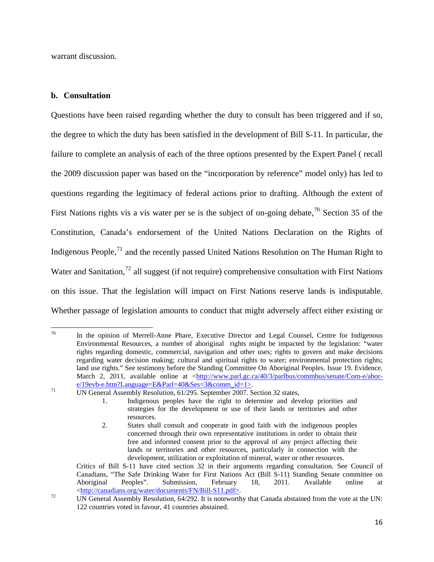warrant discussion.

### **b. Consultation**

Questions have been raised regarding whether the duty to consult has been triggered and if so, the degree to which the duty has been satisfied in the development of Bill S-11. In particular, the failure to complete an analysis of each of the three options presented by the Expert Panel ( recall the 2009 discussion paper was based on the "incorporation by reference" model only) has led to questions regarding the legitimacy of federal actions prior to drafting. Although the extent of First Nations rights vis a vis water per se is the subject of on-going debate,  $\frac{70}{10}$  $\frac{70}{10}$  $\frac{70}{10}$  Section 35 of the Constitution, Canada's endorsement of the United Nations Declaration on the Rights of Indigenous People,  $^{71}$  $^{71}$  $^{71}$  and the recently passed United Nations Resolution on The Human Right to Water and Sanitation,<sup>[72](#page-16-2)</sup> all suggest (if not require) comprehensive consultation with First Nations on this issue. That the legislation will impact on First Nations reserve lands is indisputable. Whether passage of legislation amounts to conduct that might adversely affect either existing or

<span id="page-16-0"></span>  $70$  In the opinion of Merrell-Anne Phare, Executive Director and Legal Counsel, Centre for Indigenous Environmental Resources, a number of aboriginal rights might be impacted by the legislation: "water rights regarding domestic, commercial, navigation and other uses; rights to govern and make decisions regarding water decision making; cultural and spiritual rights to water; environmental protection rights; land use rights." See testimony before the Standing Committee On Aboriginal Peoples. Issue 19. Evidence. March 2, 2011, available online at <http://www.parl.gc.ca/40/3/parlbus/commbus/senate/Com-e/abor-e/19evb-e.htm?Language=E&Parl=40&Ses=3&comm id=1>.

<span id="page-16-1"></span> $\frac{9.2888686644}{100}$  UN General Assembly Resolution, 61/295. September 2007. Section 32 states,

<sup>1.</sup> Indigenous peoples have the right to determine and develop priorities and strategies for the development or use of their lands or territories and other resources.

<sup>2.</sup> States shall consult and cooperate in good faith with the indigenous peoples concerned through their own representative institutions in order to obtain their free and informed consent prior to the approval of any project affecting their lands or territories and other resources, particularly in connection with the development, utilization or exploitation of mineral, water or other resources.

Critics of Bill S-11 have cited section 32 in their arguments regarding consultation. See Council of Canadians, "The Safe Drinking Water for First Nations Act (Bill S-11) Standing Senate committee on Aboriginal Peoples". Submission, February 18, 2011. Available online at <[http://canadians.org/water/documents/FN/Bill-S11.pdf>](http://canadians.org/water/documents/FN/Bill-S11.pdf). 72 UN General Assembly Resolution, 64/292. It is noteworthy that Canada abstained from the vote at the UN:

<span id="page-16-2"></span><sup>122</sup> countries voted in favour, 41 countries abstained.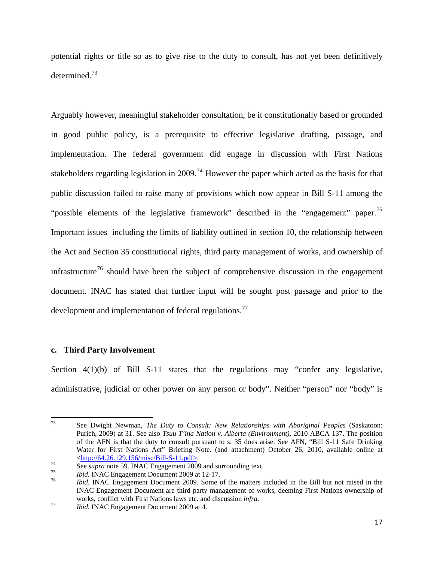potential rights or title so as to give rise to the duty to consult, has not yet been definitively determined.[73](#page-17-0)

Arguably however, meaningful stakeholder consultation, be it constitutionally based or grounded in good public policy, is a prerequisite to effective legislative drafting, passage, and implementation. The federal government did engage in discussion with First Nations stakeholders regarding legislation in 2009.<sup>[74](#page-17-1)</sup> However the paper which acted as the basis for that public discussion failed to raise many of provisions which now appear in Bill S-11 among the "possible elements of the legislative framework" described in the "engagement" paper.<sup>[75](#page-17-2)</sup> Important issues including the limits of liability outlined in section 10, the relationship between the Act and Section 35 constitutional rights, third party management of works, and ownership of infrastructure<sup>[76](#page-17-3)</sup> should have been the subject of comprehensive discussion in the engagement document. INAC has stated that further input will be sought post passage and prior to the development and implementation of federal regulations.<sup>[77](#page-17-4)</sup>

## **c. Third Party Involvement**

Section 4(1)(b) of Bill S-11 states that the regulations may "confer any legislative, administrative, judicial or other power on any person or body". Neither "person" nor "body" is

<span id="page-17-0"></span><sup>73</sup> See Dwight Newman, *The Duty to Consult: New Relationships with Aboriginal Peoples* (Saskatoon: Purich, 2009) at 31. See also *Tsuu T'ina Nation v. Alberta (Environment)*, 2010 ABCA 137. The position of the AFN is that the duty to consult pursuant to s. 35 does arise. See AFN, "Bill S-11 Safe Drinking Water for First Nations Act" Briefing Note. (and attachment) October 26, 2010, available online at  $\frac{\text{http://64.26.129.156/misc/Bill-S-11.pdf}}{56}$ <br>See *supra* note 59. INAC Engagement 2009 and surrounding text.<br>*T5*<br>*T6 Ibid.* INAC Engagement Document 2009 at 12-17.<br>*T6 Ibid.* INAC Engagement Document 2009. Some of the matter

<span id="page-17-1"></span>

<span id="page-17-2"></span>

<span id="page-17-3"></span>INAC Engagement Document are third party management of works, deeming First Nations ownership of works, conflict with First Nations laws etc. and discussion *infra*.<br>*Thid.* INAC Engagement Document 2009 at 4.

<span id="page-17-4"></span>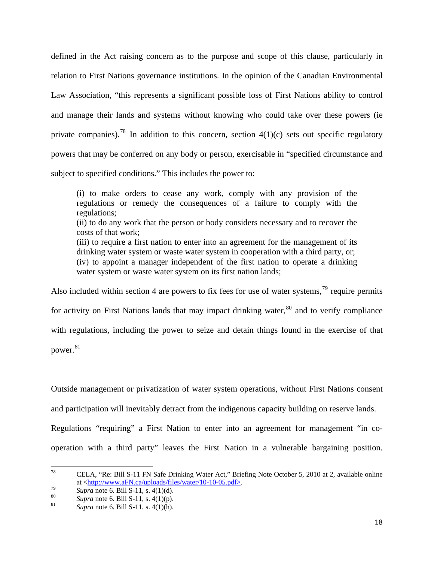defined in the Act raising concern as to the purpose and scope of this clause, particularly in relation to First Nations governance institutions. In the opinion of the Canadian Environmental Law Association, "this represents a significant possible loss of First Nations ability to control and manage their lands and systems without knowing who could take over these powers (ie private companies).<sup>[78](#page-18-0)</sup> In addition to this concern, section  $4(1)(c)$  sets out specific regulatory powers that may be conferred on any body or person, exercisable in "specified circumstance and subject to specified conditions." This includes the power to:

(i) to make orders to cease any work, comply with any provision of the regulations or remedy the consequences of a failure to comply with the regulations; (ii) to do any work that the person or body considers necessary and to recover the costs of that work; (iii) to require a first nation to enter into an agreement for the management of its

drinking water system or waste water system in cooperation with a third party, or; (iv) to appoint a manager independent of the first nation to operate a drinking water system or waste water system on its first nation lands;

Also included within section 4 are powers to fix fees for use of water systems.<sup>[79](#page-18-1)</sup> require permits for activity on First Nations lands that may impact drinking water,  $80^{\circ}$  $80^{\circ}$  and to verify compliance with regulations, including the power to seize and detain things found in the exercise of that power.<sup>[81](#page-18-3)</sup>

Outside management or privatization of water system operations, without First Nations consent

and participation will inevitably detract from the indigenous capacity building on reserve lands.

Regulations "requiring" a First Nation to enter into an agreement for management "in cooperation with a third party" leaves the First Nation in a vulnerable bargaining position.

<span id="page-18-0"></span><sup>78</sup> CELA, "Re: Bill S-11 FN Safe Drinking Water Act," Briefing Note October 5, 2010 at 2, available online at  $\langle \frac{http://www.aFN.ca/uploads/files/water/10-10-05.pdf}{\text{Supra note 6. Bill S-11, s. 4(1)(d)}}$ .<br> *Supra* note 6. Bill S-11, s. 4(1)(p).<br> *Supra* note 6. Bill S-11, s. 4(1)(h).

<span id="page-18-1"></span>

<span id="page-18-2"></span>

<span id="page-18-3"></span>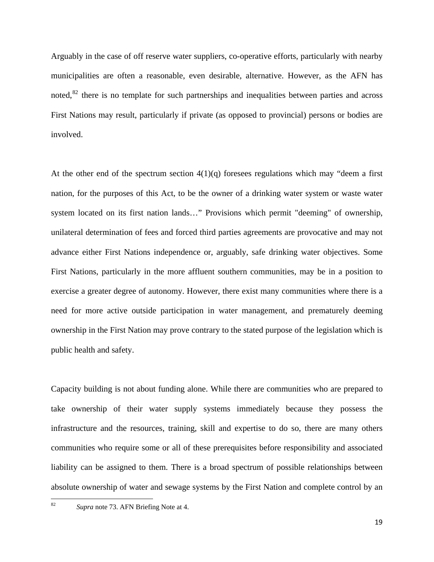Arguably in the case of off reserve water suppliers, co-operative efforts, particularly with nearby municipalities are often a reasonable, even desirable, alternative. However, as the AFN has noted, $82$  there is no template for such partnerships and inequalities between parties and across First Nations may result, particularly if private (as opposed to provincial) persons or bodies are involved.

At the other end of the spectrum section  $4(1)(q)$  foresees regulations which may "deem a first nation, for the purposes of this Act, to be the owner of a drinking water system or waste water system located on its first nation lands…" Provisions which permit "deeming" of ownership, unilateral determination of fees and forced third parties agreements are provocative and may not advance either First Nations independence or, arguably, safe drinking water objectives. Some First Nations, particularly in the more affluent southern communities, may be in a position to exercise a greater degree of autonomy. However, there exist many communities where there is a need for more active outside participation in water management, and prematurely deeming ownership in the First Nation may prove contrary to the stated purpose of the legislation which is public health and safety.

Capacity building is not about funding alone. While there are communities who are prepared to take ownership of their water supply systems immediately because they possess the infrastructure and the resources, training, skill and expertise to do so, there are many others communities who require some or all of these prerequisites before responsibility and associated liability can be assigned to them. There is a broad spectrum of possible relationships between absolute ownership of water and sewage systems by the First Nation and complete control by an

<span id="page-19-0"></span><sup>82</sup> *Supra* note 73. AFN Briefing Note at 4.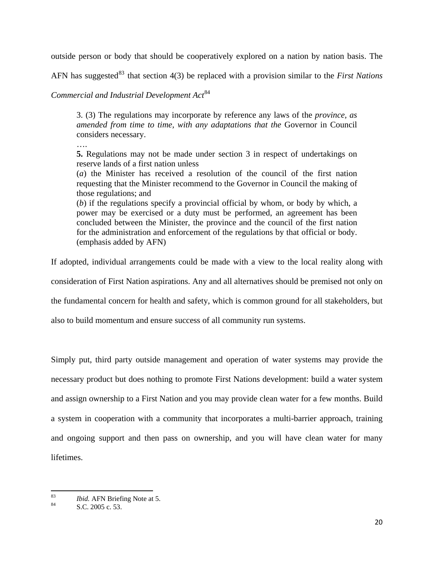outside person or body that should be cooperatively explored on a nation by nation basis. The

AFN has suggested<sup>[83](#page-20-0)</sup> that section 4(3) be replaced with a provision similar to the *First Nations* 

*Commercial and Industrial Development Act*[84](#page-20-1)

3. (3) The regulations may incorporate by reference any laws of the *province, as amended from time to time, with any adaptations that the* Governor in Council considers necessary.

….

**5.** Regulations may not be made under section 3 in respect of undertakings on reserve lands of a first nation unless

(*a*) the Minister has received a resolution of the council of the first nation requesting that the Minister recommend to the Governor in Council the making of those regulations; and

(*b*) if the regulations specify a provincial official by whom, or body by which, a power may be exercised or a duty must be performed, an agreement has been concluded between the Minister, the province and the council of the first nation for the administration and enforcement of the regulations by that official or body. (emphasis added by AFN)

If adopted, individual arrangements could be made with a view to the local reality along with

consideration of First Nation aspirations. Any and all alternatives should be premised not only on

the fundamental concern for health and safety, which is common ground for all stakeholders, but

also to build momentum and ensure success of all community run systems.

Simply put, third party outside management and operation of water systems may provide the necessary product but does nothing to promote First Nations development: build a water system and assign ownership to a First Nation and you may provide clean water for a few months. Build a system in cooperation with a community that incorporates a multi-barrier approach, training and ongoing support and then pass on ownership, and you will have clean water for many lifetimes.

<span id="page-20-0"></span>  $\frac{83}{84}$  *Ibid.* AFN Briefing Note at 5.<br>S.C. 2005 c. 53.

<span id="page-20-1"></span>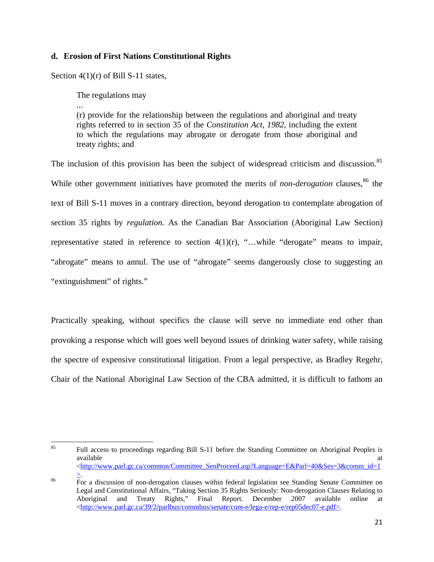# **d. Erosion of First Nations Constitutional Rights**

Section  $4(1)(r)$  of Bill S-11 states,

The regulations may

...

(r) provide for the relationship between the regulations and aboriginal and treaty rights referred to in section 35 of the *Constitution Act, 1982*, including the extent to which the regulations may abrogate or derogate from those aboriginal and treaty rights; and

The inclusion of this provision has been the subject of widespread criticism and discussion.<sup>[85](#page-21-0)</sup> While other government initiatives have promoted the merits of *non-derogation* clauses.<sup>[86](#page-21-1)</sup> the text of Bill S-11 moves in a contrary direction, beyond derogation to contemplate abrogation of section 35 rights by *regulation.* As the Canadian Bar Association (Aboriginal Law Section) representative stated in reference to section 4(1)(r), "…while "derogate" means to impair, "abrogate" means to annul. The use of "abrogate" seems dangerously close to suggesting an "extinguishment" of rights."

Practically speaking, without specifics the clause will serve no immediate end other than provoking a response which will goes well beyond issues of drinking water safety, while raising the spectre of expensive constitutional litigation. From a legal perspective, as Bradley Regehr, Chair of the National Aboriginal Law Section of the CBA admitted, it is difficult to fathom an

<span id="page-21-0"></span> <sup>85</sup> Full access to proceedings regarding Bill S-11 before the Standing Committee on Aboriginal Peoples is available at the contract of the contract of the contract of the contract of the contract of the contract of the contract of the contract of the contract of the contract of the contract of the contract of the contract of t <[http://www.parl.gc.ca/common/Committee\\_SenProceed.asp?Language=E&Parl=40&Ses=3&comm\\_id=1](http://www.parl.gc.ca/common/Committee_SenProceed.asp?Language=E&Parl=40&Ses=3&comm_id=1)

<span id="page-21-1"></span><sup>&</sup>lt;sup>86</sup> For a discussion of non-derogation clauses within federal legislation see Standing Senate Committee on Legal and Constitutional Affairs, "Taking Section 35 Rights Seriously: Non-derogation Clauses Relating to Aboriginal and Treaty Rights," Final Report. December 2007 available online at  $\langle \text{http://www.parl.gc.ca/39/2/parlbus/commbus/senate/com-e/lega-e/rep-e/rep05dec07-e.pdf} \rangle$  $\langle \text{http://www.parl.gc.ca/39/2/parlbus/commbus/senate/com-e/lega-e/rep-e/rep05dec07-e.pdf} \rangle$  $\langle \text{http://www.parl.gc.ca/39/2/parlbus/commbus/senate/com-e/lega-e/rep-e/rep05dec07-e.pdf} \rangle$ .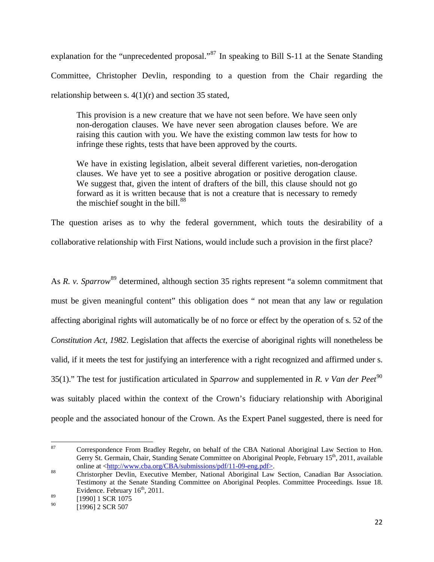explanation for the "unprecedented proposal."[87](#page-22-0) In speaking to Bill S-11 at the Senate Standing Committee, Christopher Devlin, responding to a question from the Chair regarding the relationship between s.  $4(1)(r)$  and section 35 stated,

This provision is a new creature that we have not seen before. We have seen only non-derogation clauses. We have never seen abrogation clauses before. We are raising this caution with you. We have the existing common law tests for how to infringe these rights, tests that have been approved by the courts.

We have in existing legislation, albeit several different varieties, non-derogation clauses. We have yet to see a positive abrogation or positive derogation clause. We suggest that, given the intent of drafters of the bill, this clause should not go forward as it is written because that is not a creature that is necessary to remedy the mischief sought in the bill. $88$ 

The question arises as to why the federal government, which touts the desirability of a collaborative relationship with First Nations, would include such a provision in the first place?

As *R. v. Sparrow*<sup>[89](#page-22-2)</sup> determined, although section 35 rights represent "a solemn commitment that must be given meaningful content" this obligation does " not mean that any law or regulation affecting aboriginal rights will automatically be of no force or effect by the operation of s. 52 of the *Constitution Act, 1982*. Legislation that affects the exercise of aboriginal rights will nonetheless be valid, if it meets the test for justifying an interference with a right recognized and affirmed under s. 35(1)." The test for justification articulated in *Sparrow* and supplemented in *R. v Van der Peet*<sup>[90](#page-22-3)</sup> was suitably placed within the context of the Crown's fiduciary relationship with Aboriginal people and the associated honour of the Crown. As the Expert Panel suggested, there is need for

<span id="page-22-0"></span> <sup>87</sup> Correspondence From Bradley Regehr, on behalf of the CBA National Aboriginal Law Section to Hon. Gerry St. Germain, Chair, Standing Senate Committee on Aboriginal People, February  $15^{th}$ , 2011, available online at  $\frac{\text{http://www.cba.org/CBA/submissions/pdf/11-09-eng.pdf}{\text{ln}}$ .

<span id="page-22-1"></span><sup>&</sup>lt;sup>88</sup> Christorpher Devlin, Executive Member, National Aboriginal Law Section, Canadian Bar Association. Testimony at the Senate Standing Committee on Aboriginal Peoples. Committee Proceedings. Issue 18. Evidence. February  $16<sup>th</sup>$ , 2011.

<span id="page-22-3"></span><span id="page-22-2"></span> $\frac{89}{90}$  [1990] 1 SCR 1075

<sup>[1996] 2</sup> SCR 507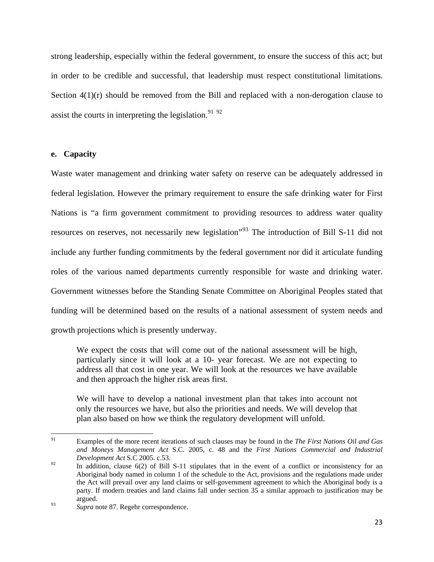strong leadership, especially within the federal government, to ensure the success of this act; but in order to be credible and successful, that leadership must respect constitutional limitations. Section  $4(1)(r)$  should be removed from the Bill and replaced with a non-derogation clause to assist the courts in interpreting the legislation.<sup>[91](#page-23-0) [92](#page-23-1)</sup>

## **e. Capacity**

Waste water management and drinking water safety on reserve can be adequately addressed in federal legislation. However the primary requirement to ensure the safe drinking water for First Nations is "a firm government commitment to providing resources to address water quality resources on reserves, not necessarily new legislation"[93](#page-23-2) The introduction of Bill S-11 did not include any further funding commitments by the federal government nor did it articulate funding roles of the various named departments currently responsible for waste and drinking water. Government witnesses before the Standing Senate Committee on Aboriginal Peoples stated that funding will be determined based on the results of a national assessment of system needs and growth projections which is presently underway.

We expect the costs that will come out of the national assessment will be high, particularly since it will look at a 10- year forecast. We are not expecting to address all that cost in one year. We will look at the resources we have available and then approach the higher risk areas first.

We will have to develop a national investment plan that takes into account not only the resources we have, but also the priorities and needs. We will develop that plan also based on how we think the regulatory development will unfold.

<span id="page-23-0"></span><sup>91</sup> Examples of the more recent iterations of such clauses may be found in the *The First Nations Oil and Gas and Moneys Management Act* S.C. 2005, c. 48 and the *First Nations Commercial and Industrial Development Act* S.C 2005. c.53.

<span id="page-23-1"></span><sup>&</sup>lt;sup>92</sup> In addition, clause 6(2) of Bill S-11 stipulates that in the event of a conflict or inconsistency for an Aboriginal body named in column 1 of the schedule to the Act, provisions and the regulations made under the Act will prevail over any land claims or self-government agreement to which the Aboriginal body is a party. If modern treaties and land claims fall under section 35 a similar approach to justification may be argued.

<span id="page-23-2"></span><sup>93</sup> *Supra* note 87. Regehr correspondence.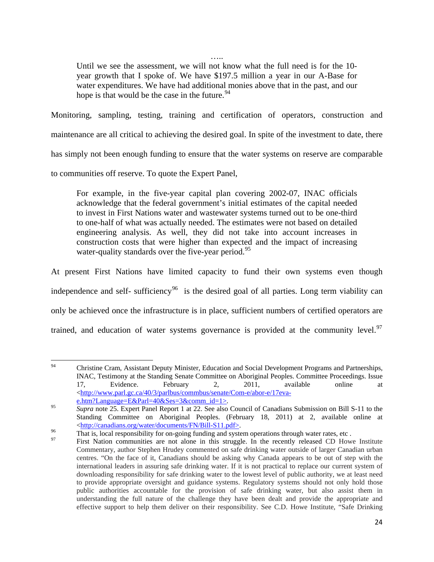….

Until we see the assessment, we will not know what the full need is for the 10 year growth that I spoke of. We have \$197.5 million a year in our A-Base for water expenditures. We have had additional monies above that in the past, and our hope is that would be the case in the future.  $94$ 

Monitoring, sampling, testing, training and certification of operators, construction and

maintenance are all critical to achieving the desired goal. In spite of the investment to date, there

has simply not been enough funding to ensure that the water systems on reserve are comparable

to communities off reserve. To quote the Expert Panel,

For example, in the five-year capital plan covering 2002-07, INAC officials acknowledge that the federal government's initial estimates of the capital needed to invest in First Nations water and wastewater systems turned out to be one-third to one-half of what was actually needed. The estimates were not based on detailed engineering analysis. As well, they did not take into account increases in construction costs that were higher than expected and the impact of increasing water-quality standards over the five-year period.<sup>[95](#page-24-1)</sup>

At present First Nations have limited capacity to fund their own systems even though independence and self- sufficiency<sup>[96](#page-24-2)</sup> is the desired goal of all parties. Long term viability can only be achieved once the infrastructure is in place, sufficient numbers of certified operators are trained, and education of water systems governance is provided at the community level.<sup>[97](#page-24-3)</sup>

<span id="page-24-0"></span> <sup>94</sup> Christine Cram, Assistant Deputy Minister, Education and Social Development Programs and Partnerships, INAC, Testimony at the Standing Senate Committee on Aboriginal Peoples. Committee Proceedings. Issue 17, Evidence. February 2, 2011, available online at <[http://www.parl.gc.ca/40/3/parlbus/commbus/senate/Com-e/abor-e/17eva-](http://www.parl.gc.ca/40/3/parlbus/commbus/senate/Com-e/abor-e/17eva-e.htm?Language=E&Parl=40&Ses=3&comm_id=1)

[e.htm?Language=E&Parl=40&Ses=3&comm\\_id=1](http://www.parl.gc.ca/40/3/parlbus/commbus/senate/Com-e/abor-e/17eva-e.htm?Language=E&Parl=40&Ses=3&comm_id=1)>.<br> *Supra* note 25. Expert Panel Report 1 at 22. See also Council of Canadians Submission on Bill S-11 to the

<span id="page-24-1"></span>Standing Committee on Aboriginal Peoples. (February 18, 2011) at 2, available online at %  $\frac{\text{http://canadians.org/water/documents/FN/Bill-S11.pdf}}{\text{That is, local responsibility for on-going funding and system operations through water rates, etc.}}$ 

<span id="page-24-3"></span><span id="page-24-2"></span>

First Nation communities are not alone in this struggle. In the recently released CD Howe Institute Commentary, author Stephen Hrudey commented on safe drinking water outside of larger Canadian urban centres. "On the face of it, Canadians should be asking why Canada appears to be out of step with the international leaders in assuring safe drinking water. If it is not practical to replace our current system of downloading responsibility for safe drinking water to the lowest level of public authority, we at least need to provide appropriate oversight and guidance systems. Regulatory systems should not only hold those public authorities accountable for the provision of safe drinking water, but also assist them in understanding the full nature of the challenge they have been dealt and provide the appropriate and effective support to help them deliver on their responsibility. See C.D. Howe Institute, "Safe Drinking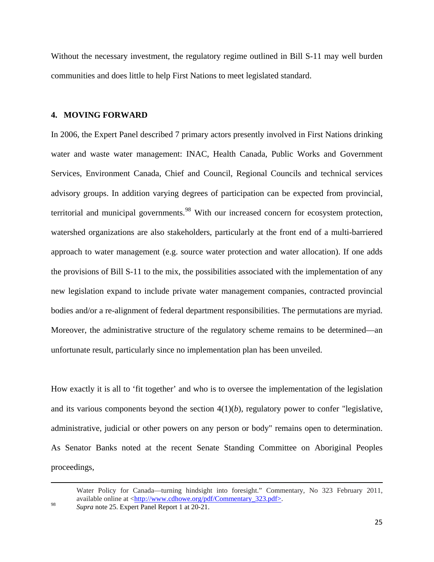Without the necessary investment, the regulatory regime outlined in Bill S-11 may well burden communities and does little to help First Nations to meet legislated standard.

### **4. MOVING FORWARD**

In 2006, the Expert Panel described 7 primary actors presently involved in First Nations drinking water and waste water management: INAC, Health Canada, Public Works and Government Services, Environment Canada, Chief and Council, Regional Councils and technical services advisory groups. In addition varying degrees of participation can be expected from provincial, territorial and municipal governments.<sup>[98](#page-25-0)</sup> With our increased concern for ecosystem protection, watershed organizations are also stakeholders, particularly at the front end of a multi-barriered approach to water management (e.g. source water protection and water allocation). If one adds the provisions of Bill S-11 to the mix, the possibilities associated with the implementation of any new legislation expand to include private water management companies, contracted provincial bodies and/or a re-alignment of federal department responsibilities. The permutations are myriad. Moreover, the administrative structure of the regulatory scheme remains to be determined—an unfortunate result, particularly since no implementation plan has been unveiled.

How exactly it is all to 'fit together' and who is to oversee the implementation of the legislation and its various components beyond the section 4(1)(*b*), regulatory power to confer "legislative, administrative, judicial or other powers on any person or body" remains open to determination. As Senator Banks noted at the recent Senate Standing Committee on Aboriginal Peoples proceedings,

<u> 1989 - Johann Stoff, fransk politik (d. 1989)</u>

<span id="page-25-0"></span>Water Policy for Canada—turning hindsight into foresight." Commentary, No 323 February 2011, available online at <<u>http://www.cdhowe.org/pdf/Commentary\_323.pdf></u>.<br><sup>98</sup> *Supra* note 25. Expert Panel Report 1 at 20-21.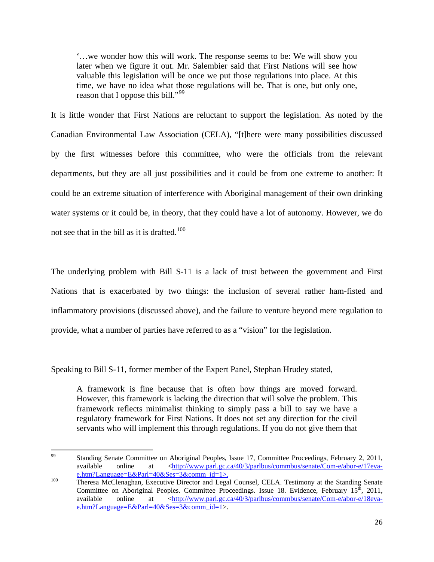'…we wonder how this will work. The response seems to be: We will show you later when we figure it out. Mr. Salembier said that First Nations will see how valuable this legislation will be once we put those regulations into place. At this time, we have no idea what those regulations will be. That is one, but only one, reason that I oppose this bill."<sup>[99](#page-26-0)</sup>

It is little wonder that First Nations are reluctant to support the legislation. As noted by the Canadian Environmental Law Association (CELA), "[t]here were many possibilities discussed by the first witnesses before this committee, who were the officials from the relevant departments, but they are all just possibilities and it could be from one extreme to another: It could be an extreme situation of interference with Aboriginal management of their own drinking water systems or it could be, in theory, that they could have a lot of autonomy. However, we do not see that in the bill as it is drafted.<sup>[100](#page-26-1)</sup>

The underlying problem with Bill S-11 is a lack of trust between the government and First Nations that is exacerbated by two things: the inclusion of several rather ham-fisted and inflammatory provisions (discussed above), and the failure to venture beyond mere regulation to provide, what a number of parties have referred to as a "vision" for the legislation.

Speaking to Bill S-11, former member of the Expert Panel, Stephan Hrudey stated,

A framework is fine because that is often how things are moved forward. However, this framework is lacking the direction that will solve the problem. This framework reflects minimalist thinking to simply pass a bill to say we have a regulatory framework for First Nations. It does not set any direction for the civil servants who will implement this through regulations. If you do not give them that

<span id="page-26-0"></span> <sup>99</sup> Standing Senate Committee on Aboriginal Peoples, Issue 17, Committee Proceedings, February 2, 2011, available online at <[http://www.parl.gc.ca/40/3/parlbus/commbus/senate/Com-e/abor-e/17eva](http://www.parl.gc.ca/40/3/parlbus/commbus/senate/Com-e/abor-e/17eva-e.htm?Language=E&Parl=40&Ses=3&comm_id=1)[e.htm?Language=E&Parl=40&Ses=3&comm\\_id=1](http://www.parl.gc.ca/40/3/parlbus/commbus/senate/Com-e/abor-e/17eva-e.htm?Language=E&Parl=40&Ses=3&comm_id=1)>.<br>
Theresa McClenaghan, Executive Director and Legal Counsel, CELA. Testimony at the Standing Senate

<span id="page-26-1"></span>Committee on Aboriginal Peoples. Committee Proceedings. Issue 18. Evidence, February  $15<sup>th</sup>$ , 2011, available online at <[http://www.parl.gc.ca/40/3/parlbus/commbus/senate/Com-e/abor-e/18eva](http://www.parl.gc.ca/40/3/parlbus/commbus/senate/Com-e/abor-e/18eva-e.htm?Language=E&Parl=40&Ses=3&comm_id=1)[e.htm?Language=E&Parl=40&Ses=3&comm\\_id=1](http://www.parl.gc.ca/40/3/parlbus/commbus/senate/Com-e/abor-e/18eva-e.htm?Language=E&Parl=40&Ses=3&comm_id=1)>.